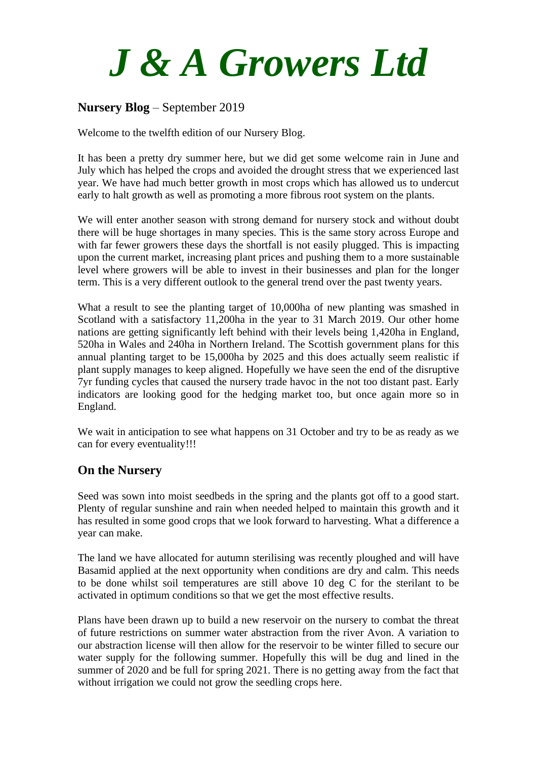# *J & A Growers Ltd*

# **Nursery Blog** – September 2019

Welcome to the twelfth edition of our Nursery Blog.

It has been a pretty dry summer here, but we did get some welcome rain in June and July which has helped the crops and avoided the drought stress that we experienced last year. We have had much better growth in most crops which has allowed us to undercut early to halt growth as well as promoting a more fibrous root system on the plants.

We will enter another season with strong demand for nursery stock and without doubt there will be huge shortages in many species. This is the same story across Europe and with far fewer growers these days the shortfall is not easily plugged. This is impacting upon the current market, increasing plant prices and pushing them to a more sustainable level where growers will be able to invest in their businesses and plan for the longer term. This is a very different outlook to the general trend over the past twenty years.

What a result to see the planting target of 10,000ha of new planting was smashed in Scotland with a satisfactory 11,200ha in the year to 31 March 2019. Our other home nations are getting significantly left behind with their levels being 1,420ha in England, 520ha in Wales and 240ha in Northern Ireland. The Scottish government plans for this annual planting target to be 15,000ha by 2025 and this does actually seem realistic if plant supply manages to keep aligned. Hopefully we have seen the end of the disruptive 7yr funding cycles that caused the nursery trade havoc in the not too distant past. Early indicators are looking good for the hedging market too, but once again more so in England.

We wait in anticipation to see what happens on 31 October and try to be as ready as we can for every eventuality!!!

## **On the Nursery**

Seed was sown into moist seedbeds in the spring and the plants got off to a good start. Plenty of regular sunshine and rain when needed helped to maintain this growth and it has resulted in some good crops that we look forward to harvesting. What a difference a year can make.

The land we have allocated for autumn sterilising was recently ploughed and will have Basamid applied at the next opportunity when conditions are dry and calm. This needs to be done whilst soil temperatures are still above 10 deg C for the sterilant to be activated in optimum conditions so that we get the most effective results.

Plans have been drawn up to build a new reservoir on the nursery to combat the threat of future restrictions on summer water abstraction from the river Avon. A variation to our abstraction license will then allow for the reservoir to be winter filled to secure our water supply for the following summer. Hopefully this will be dug and lined in the summer of 2020 and be full for spring 2021. There is no getting away from the fact that without irrigation we could not grow the seedling crops here.